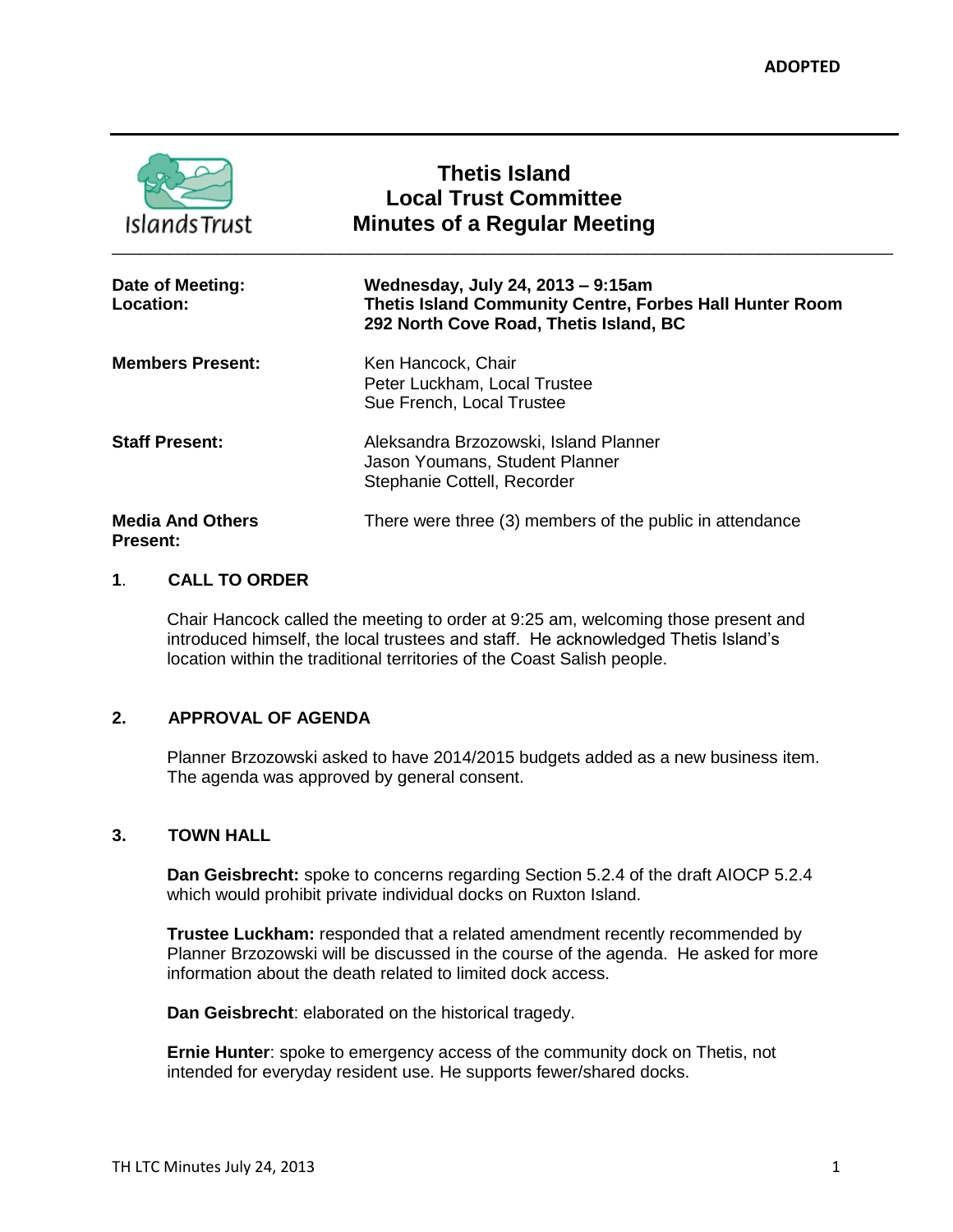| <b>Islands Trust</b>                       | <b>Thetis Island</b><br><b>Local Trust Committee</b><br><b>Minutes of a Regular Meeting</b>                                            |
|--------------------------------------------|----------------------------------------------------------------------------------------------------------------------------------------|
| Date of Meeting:<br>Location:              | Wednesday, July 24, 2013 – 9:15am<br>Thetis Island Community Centre, Forbes Hall Hunter Room<br>292 North Cove Road, Thetis Island, BC |
| <b>Members Present:</b>                    | Ken Hancock, Chair<br>Peter Luckham, Local Trustee<br>Sue French, Local Trustee                                                        |
| <b>Staff Present:</b>                      | Aleksandra Brzozowski, Island Planner<br>Jason Youmans, Student Planner<br>Stephanie Cottell, Recorder                                 |
| <b>Media And Others</b><br><b>Present:</b> | There were three (3) members of the public in attendance                                                                               |

## **1**. **CALL TO ORDER**

Chair Hancock called the meeting to order at 9:25 am, welcoming those present and introduced himself, the local trustees and staff. He acknowledged Thetis Island's location within the traditional territories of the Coast Salish people.

# **2. APPROVAL OF AGENDA**

Planner Brzozowski asked to have 2014/2015 budgets added as a new business item. The agenda was approved by general consent.

#### **3. TOWN HALL**

**Dan Geisbrecht:** spoke to concerns regarding Section 5.2.4 of the draft AIOCP 5.2.4 which would prohibit private individual docks on Ruxton Island.

**Trustee Luckham:** responded that a related amendment recently recommended by Planner Brzozowski will be discussed in the course of the agenda. He asked for more information about the death related to limited dock access.

**Dan Geisbrecht**: elaborated on the historical tragedy.

**Ernie Hunter**: spoke to emergency access of the community dock on Thetis, not intended for everyday resident use. He supports fewer/shared docks.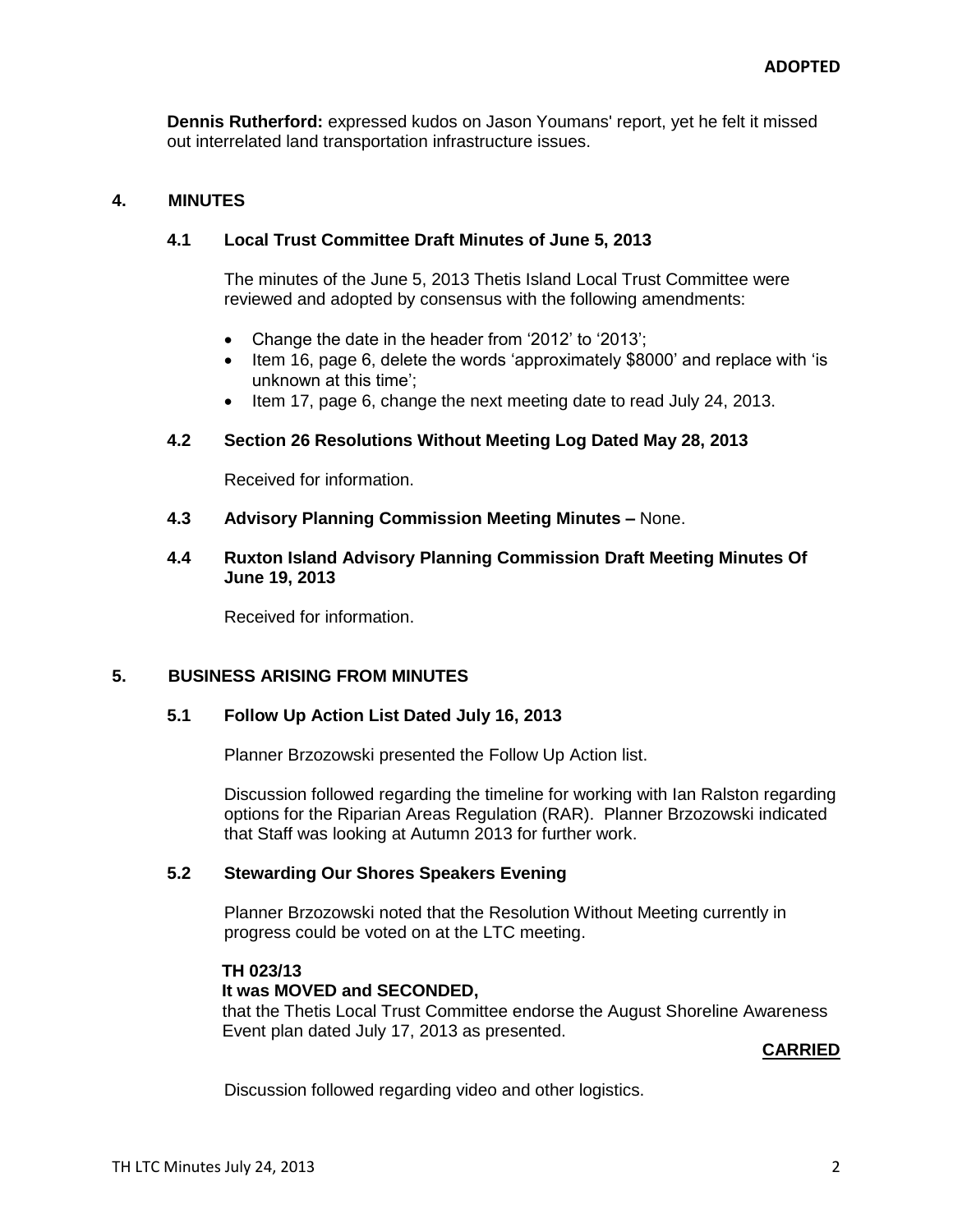**Dennis Rutherford:** expressed kudos on Jason Youmans' report, yet he felt it missed out interrelated land transportation infrastructure issues.

### **4. MINUTES**

## **4.1 Local Trust Committee Draft Minutes of June 5, 2013**

The minutes of the June 5, 2013 Thetis Island Local Trust Committee were reviewed and adopted by consensus with the following amendments:

- Change the date in the header from '2012' to '2013';
- Item 16, page 6, delete the words 'approximately \$8000' and replace with 'is unknown at this time';
- $\bullet$  Item 17, page 6, change the next meeting date to read July 24, 2013.

#### **4.2 Section 26 Resolutions Without Meeting Log Dated May 28, 2013**

Received for information.

- **4.3 Advisory Planning Commission Meeting Minutes –** None.
- **4.4 Ruxton Island Advisory Planning Commission Draft Meeting Minutes Of June 19, 2013**

Received for information.

## **5. BUSINESS ARISING FROM MINUTES**

#### **5.1 Follow Up Action List Dated July 16, 2013**

Planner Brzozowski presented the Follow Up Action list.

Discussion followed regarding the timeline for working with Ian Ralston regarding options for the Riparian Areas Regulation (RAR). Planner Brzozowski indicated that Staff was looking at Autumn 2013 for further work.

## **5.2 Stewarding Our Shores Speakers Evening**

Planner Brzozowski noted that the Resolution Without Meeting currently in progress could be voted on at the LTC meeting.

**TH 023/13 It was MOVED and SECONDED,** that the Thetis Local Trust Committee endorse the August Shoreline Awareness Event plan dated July 17, 2013 as presented.

#### **CARRIED**

Discussion followed regarding video and other logistics.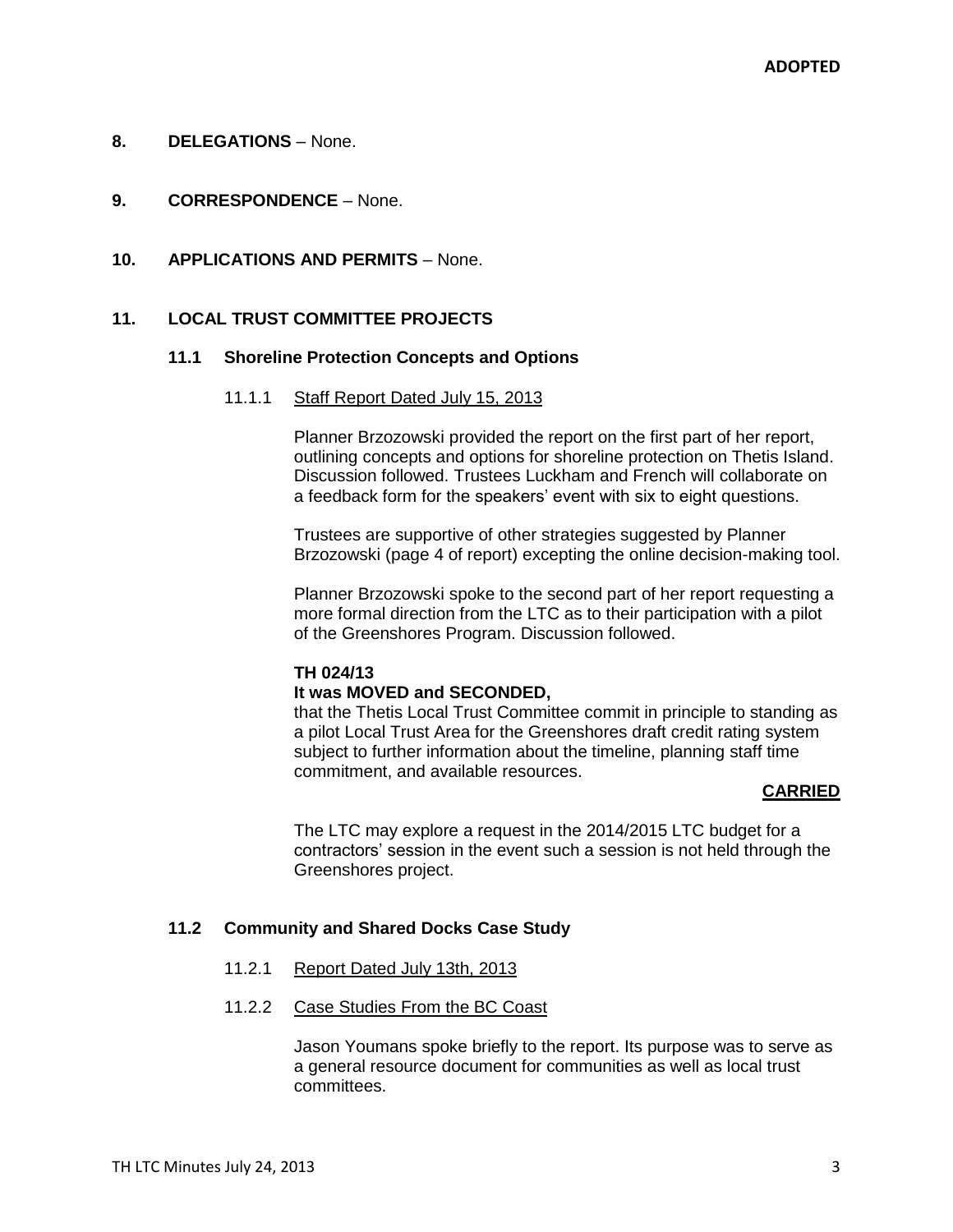#### **8. DELEGATIONS** – None.

- **9. CORRESPONDENCE** None.
- **10. APPLICATIONS AND PERMITS** None.

## **11. LOCAL TRUST COMMITTEE PROJECTS**

#### **11.1 Shoreline Protection Concepts and Options**

#### 11.1.1 Staff Report Dated July 15, 2013

Planner Brzozowski provided the report on the first part of her report, outlining concepts and options for shoreline protection on Thetis Island. Discussion followed. Trustees Luckham and French will collaborate on a feedback form for the speakers' event with six to eight questions.

Trustees are supportive of other strategies suggested by Planner Brzozowski (page 4 of report) excepting the online decision-making tool.

Planner Brzozowski spoke to the second part of her report requesting a more formal direction from the LTC as to their participation with a pilot of the Greenshores Program. Discussion followed.

#### **TH 024/13**

#### **It was MOVED and SECONDED,**

that the Thetis Local Trust Committee commit in principle to standing as a pilot Local Trust Area for the Greenshores draft credit rating system subject to further information about the timeline, planning staff time commitment, and available resources.

## **CARRIED**

The LTC may explore a request in the 2014/2015 LTC budget for a contractors' session in the event such a session is not held through the Greenshores project.

#### **11.2 Community and Shared Docks Case Study**

11.2.1 Report Dated July 13th, 2013

### 11.2.2 Case Studies From the BC Coast

Jason Youmans spoke briefly to the report. Its purpose was to serve as a general resource document for communities as well as local trust committees.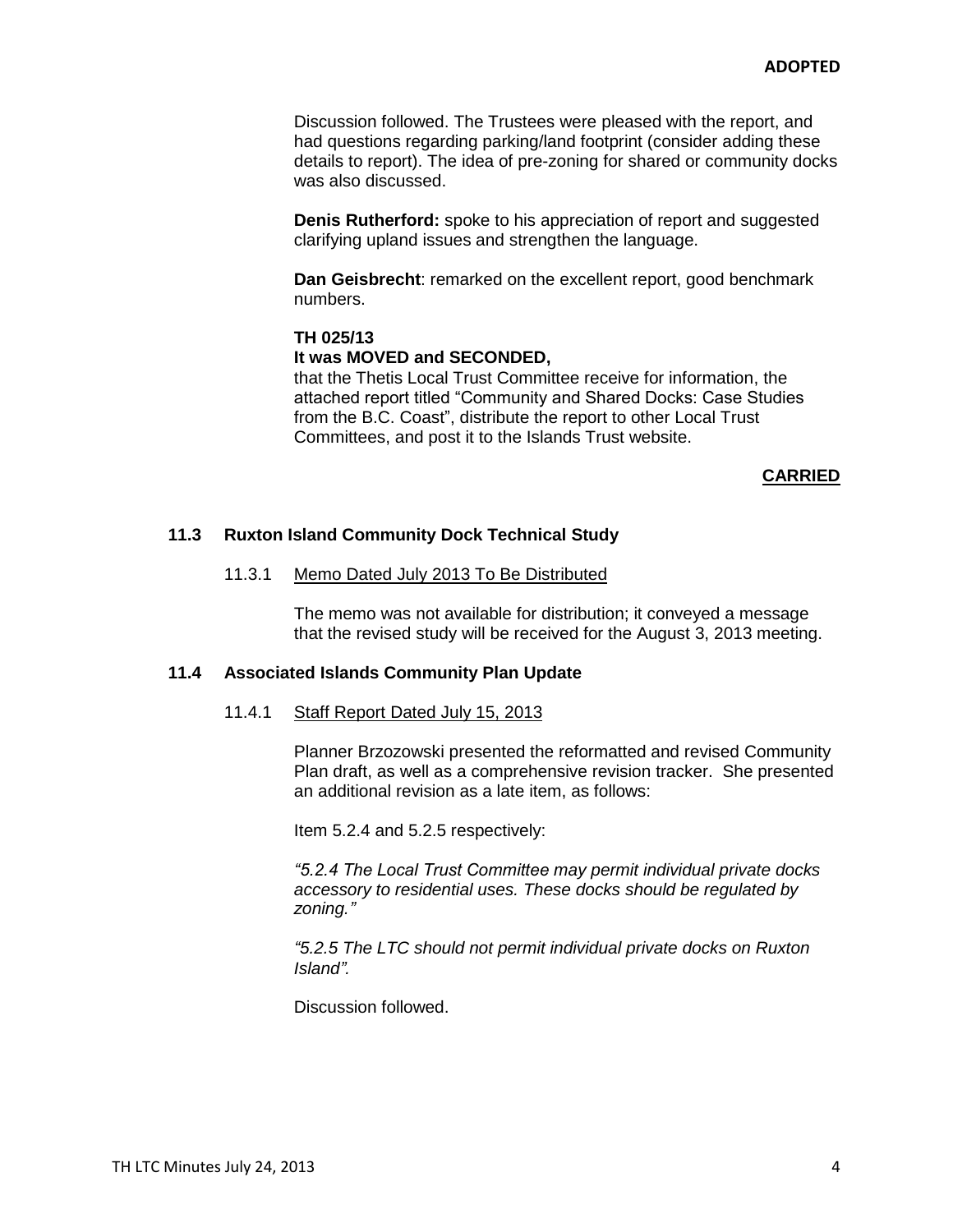Discussion followed. The Trustees were pleased with the report, and had questions regarding parking/land footprint (consider adding these details to report). The idea of pre-zoning for shared or community docks was also discussed.

**Denis Rutherford:** spoke to his appreciation of report and suggested clarifying upland issues and strengthen the language.

**Dan Geisbrecht**: remarked on the excellent report, good benchmark numbers.

#### **TH 025/13**

#### **It was MOVED and SECONDED,**

that the Thetis Local Trust Committee receive for information, the attached report titled "Community and Shared Docks: Case Studies from the B.C. Coast", distribute the report to other Local Trust Committees, and post it to the Islands Trust website.

#### **CARRIED**

## **11.3 Ruxton Island Community Dock Technical Study**

#### 11.3.1 Memo Dated July 2013 To Be Distributed

The memo was not available for distribution; it conveyed a message that the revised study will be received for the August 3, 2013 meeting.

#### **11.4 Associated Islands Community Plan Update**

#### 11.4.1 Staff Report Dated July 15, 2013

Planner Brzozowski presented the reformatted and revised Community Plan draft, as well as a comprehensive revision tracker. She presented an additional revision as a late item, as follows:

Item 5.2.4 and 5.2.5 respectively:

*"5.2.4 The Local Trust Committee may permit individual private docks accessory to residential uses. These docks should be regulated by zoning."*

*"5.2.5 The LTC should not permit individual private docks on Ruxton Island".*

Discussion followed.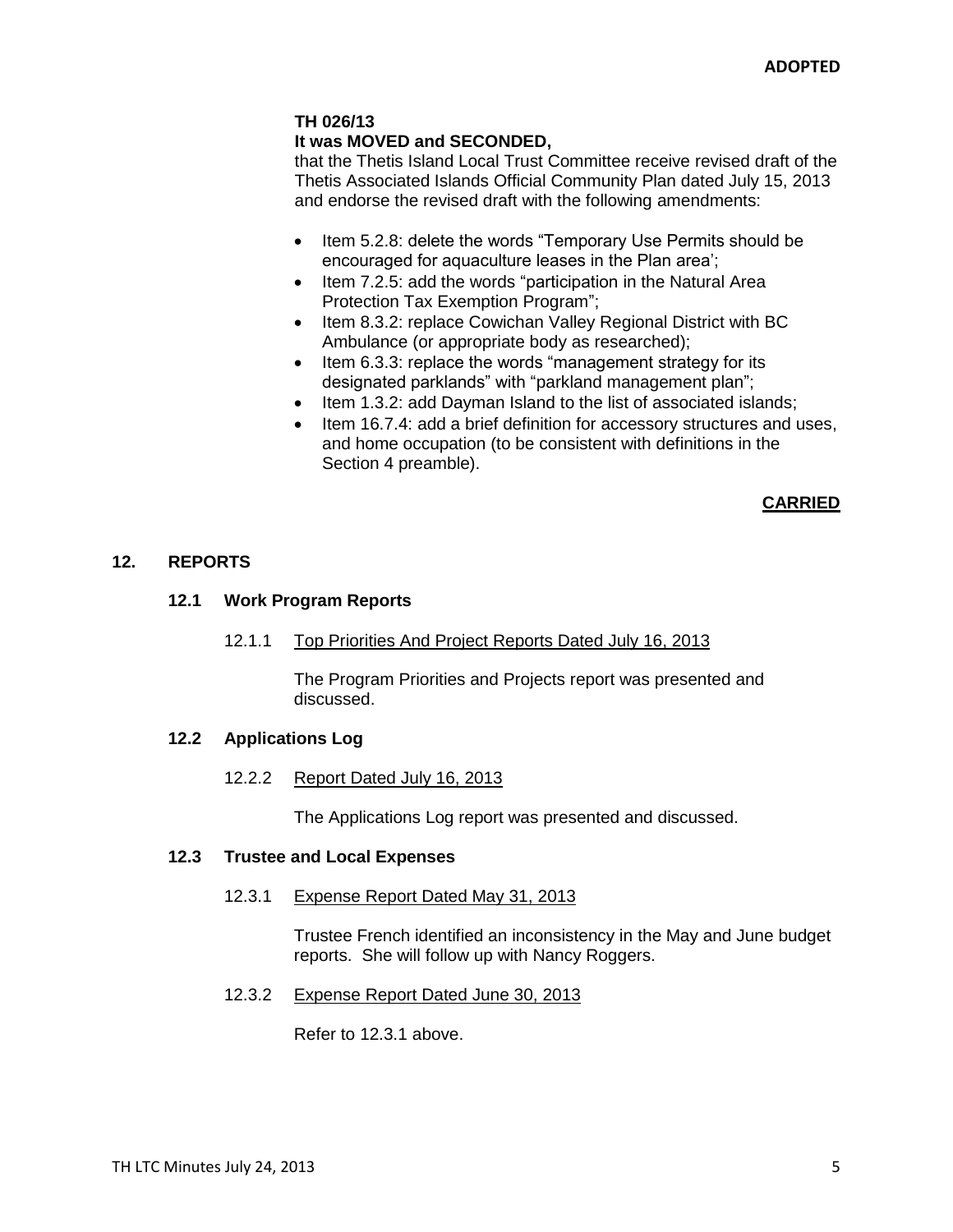# **TH 026/13**

## **It was MOVED and SECONDED,**

that the Thetis Island Local Trust Committee receive revised draft of the Thetis Associated Islands Official Community Plan dated July 15, 2013 and endorse the revised draft with the following amendments:

- Item 5.2.8: delete the words "Temporary Use Permits should be encouraged for aquaculture leases in the Plan area';
- Item 7.2.5: add the words "participation in the Natural Area Protection Tax Exemption Program";
- Item 8.3.2: replace Cowichan Valley Regional District with BC Ambulance (or appropriate body as researched);
- Item 6.3.3: replace the words "management strategy for its designated parklands" with "parkland management plan";
- Item 1.3.2: add Dayman Island to the list of associated islands;
- Item 16.7.4: add a brief definition for accessory structures and uses, and home occupation (to be consistent with definitions in the Section 4 preamble).

### **CARRIED**

### **12. REPORTS**

## **12.1 Work Program Reports**

### 12.1.1 Top Priorities And Project Reports Dated July 16, 2013

The Program Priorities and Projects report was presented and discussed.

# **12.2 Applications Log**

### 12.2.2 Report Dated July 16, 2013

The Applications Log report was presented and discussed.

### **12.3 Trustee and Local Expenses**

### 12.3.1 Expense Report Dated May 31, 2013

Trustee French identified an inconsistency in the May and June budget reports. She will follow up with Nancy Roggers.

### 12.3.2 Expense Report Dated June 30, 2013

Refer to 12.3.1 above.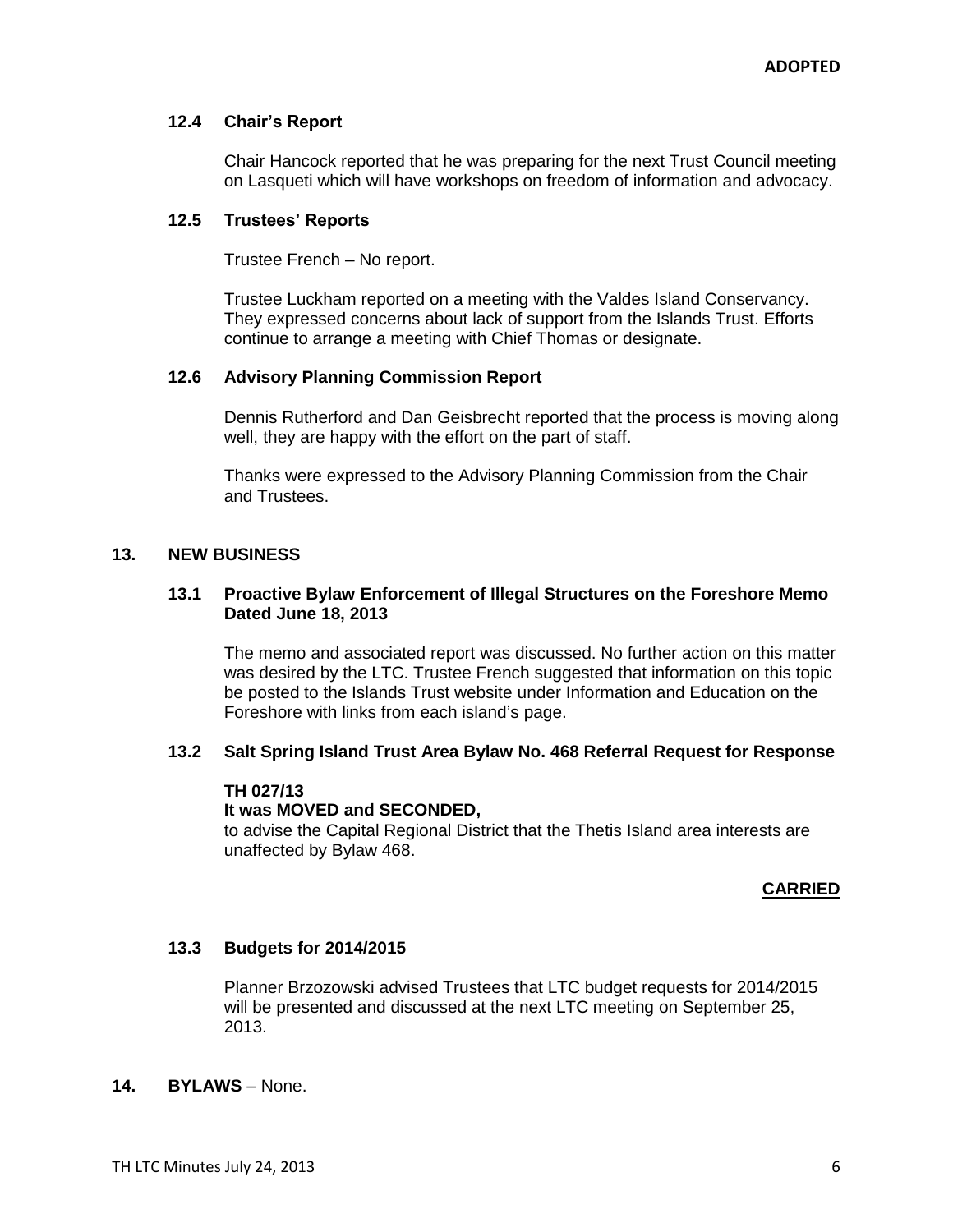## **12.4 Chair's Report**

Chair Hancock reported that he was preparing for the next Trust Council meeting on Lasqueti which will have workshops on freedom of information and advocacy.

## **12.5 Trustees' Reports**

Trustee French – No report.

Trustee Luckham reported on a meeting with the Valdes Island Conservancy. They expressed concerns about lack of support from the Islands Trust. Efforts continue to arrange a meeting with Chief Thomas or designate.

## **12.6 Advisory Planning Commission Report**

Dennis Rutherford and Dan Geisbrecht reported that the process is moving along well, they are happy with the effort on the part of staff.

Thanks were expressed to the Advisory Planning Commission from the Chair and Trustees.

## **13. NEW BUSINESS**

## **13.1 Proactive Bylaw Enforcement of Illegal Structures on the Foreshore Memo Dated June 18, 2013**

The memo and associated report was discussed. No further action on this matter was desired by the LTC. Trustee French suggested that information on this topic be posted to the Islands Trust website under Information and Education on the Foreshore with links from each island's page.

### **13.2 Salt Spring Island Trust Area Bylaw No. 468 Referral Request for Response**

### **TH 027/13**

### **It was MOVED and SECONDED,**

to advise the Capital Regional District that the Thetis Island area interests are unaffected by Bylaw 468.

### **CARRIED**

### **13.3 Budgets for 2014/2015**

Planner Brzozowski advised Trustees that LTC budget requests for 2014/2015 will be presented and discussed at the next LTC meeting on September 25, 2013.

### **14. BYLAWS** – None.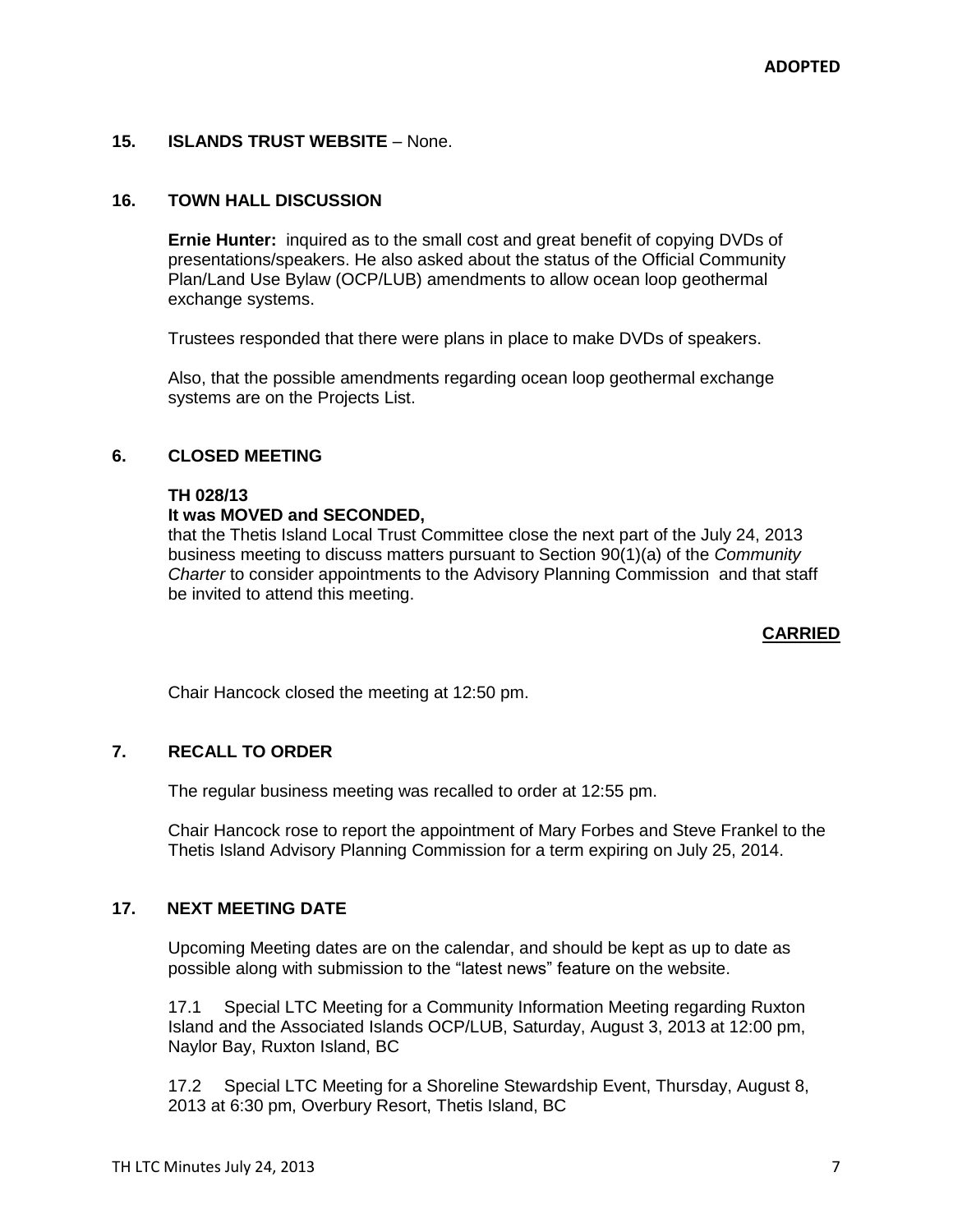## **15. ISLANDS TRUST WEBSITE** – None.

## **16. TOWN HALL DISCUSSION**

**Ernie Hunter:** inquired as to the small cost and great benefit of copying DVDs of presentations/speakers. He also asked about the status of the Official Community Plan/Land Use Bylaw (OCP/LUB) amendments to allow ocean loop geothermal exchange systems.

Trustees responded that there were plans in place to make DVDs of speakers.

Also, that the possible amendments regarding ocean loop geothermal exchange systems are on the Projects List.

### **6. CLOSED MEETING**

#### **TH 028/13**

### **It was MOVED and SECONDED,**

that the Thetis Island Local Trust Committee close the next part of the July 24, 2013 business meeting to discuss matters pursuant to Section 90(1)(a) of the *Community Charter* to consider appointments to the Advisory Planning Commission and that staff be invited to attend this meeting.

### **CARRIED**

Chair Hancock closed the meeting at 12:50 pm.

### **7. RECALL TO ORDER**

The regular business meeting was recalled to order at 12:55 pm.

Chair Hancock rose to report the appointment of Mary Forbes and Steve Frankel to the Thetis Island Advisory Planning Commission for a term expiring on July 25, 2014.

### **17. NEXT MEETING DATE**

Upcoming Meeting dates are on the calendar, and should be kept as up to date as possible along with submission to the "latest news" feature on the website.

17.1 Special LTC Meeting for a Community Information Meeting regarding Ruxton Island and the Associated Islands OCP/LUB, Saturday, August 3, 2013 at 12:00 pm, Naylor Bay, Ruxton Island, BC

17.2 Special LTC Meeting for a Shoreline Stewardship Event, Thursday, August 8, 2013 at 6:30 pm, Overbury Resort, Thetis Island, BC